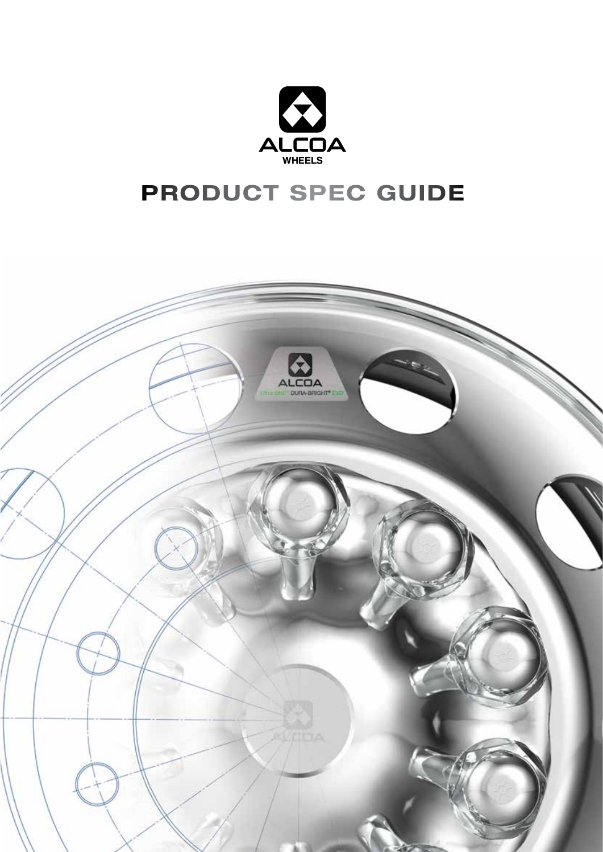

## PRODUCT SPEC GUIDE

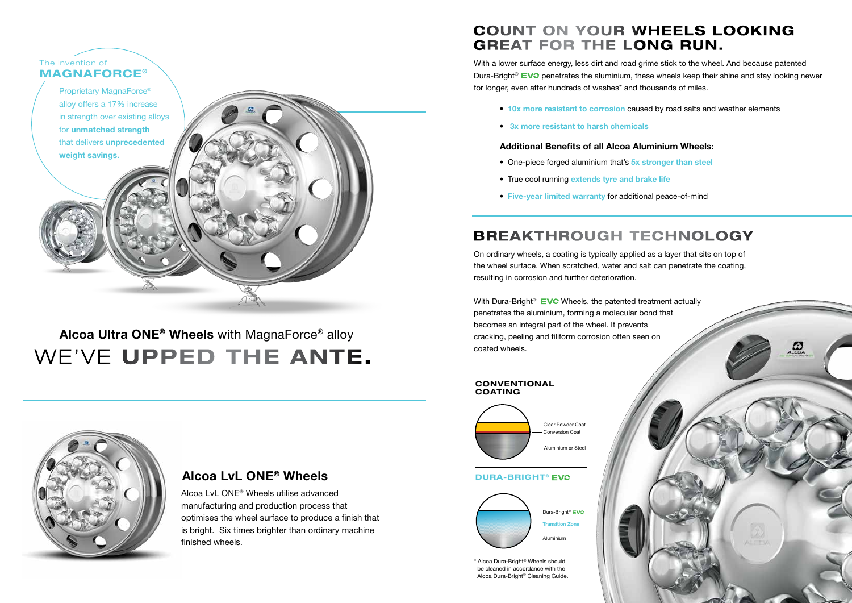

# WE'VE UPPED THE ANTE. Alcoa Ultra ONE<sup>®</sup> Wheels with MagnaForce<sup>®</sup> alloy

Alcoa LvL ONE® Wheels utilise advanced manufacturing and production process that optimises the wheel surface to produce a finish that is bright. Six times brighter than ordinary machine finished wheels.

- 10x more resistant to corrosion caused by road salts and weather elements
- 3x more resistant to harsh chemicals

## Alcoa LvL ONE® Wheels

## COUNT ON YOUR WHEELS LOOKING GREAT FOR THE LONG RUN.

- One-piece forged aluminium that's 5x stronger than steel
- True cool running extends tyre and brake life
- Five-year limited warranty for additional peace-of-mind

With a lower surface energy, less dirt and road grime stick to the wheel. And because patented Dura-Bright<sup>®</sup> EVC penetrates the aluminium, these wheels keep their shine and stay looking newer for longer, even after hundreds of washes\* and thousands of miles.

## Additional Benefits of all Alcoa Aluminium Wheels:

On ordinary wheels, a coating is typically applied as a layer that sits on top of the wheel surface. When scratched, water and salt can penetrate the coating, resulting in corrosion and further deterioration.





coated wheels.

## BREAKTHROUGH TECHNOLOGY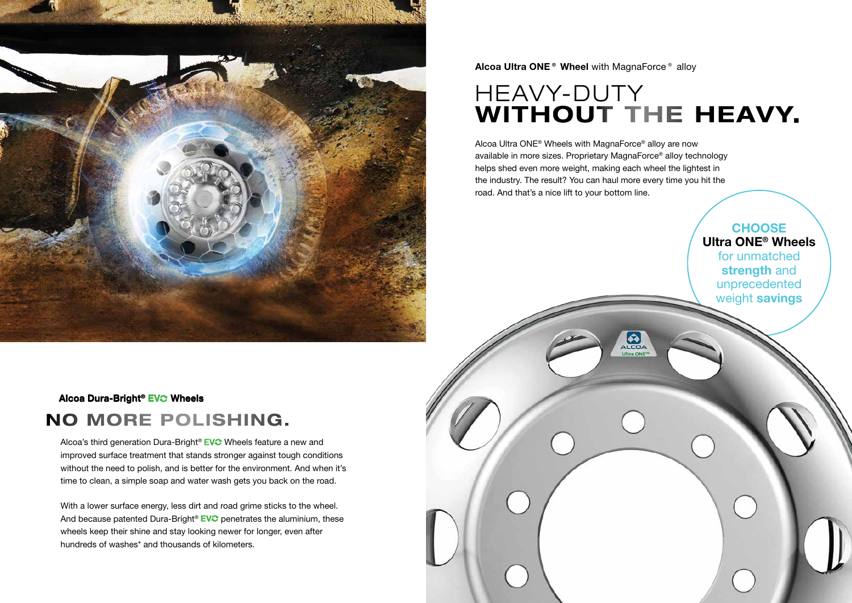

### **Alcoa Ultra ONE<sup>®</sup> Wheel** with MagnaForce<sup>®</sup> alloy

Alcoa's third generation Dura-Bright<sup>®</sup> EV<sup>3</sup> Wheels feature a new and improved surface treatment that stands stronger against tough conditions without the need to polish, and is better for the environment. And when it's time to clean, a simple soap and water wash gets you back on the road.

## **CHOOSE** Ultra ONE® Wheels

With a lower surface energy, less dirt and road grime sticks to the wheel. And because patented Dura-Bright<sup>®</sup> **EVC** penetrates the aluminium, these wheels keep their shine and stay looking newer for longer, even after hundreds of washes\* and thousands of kilometers.





## NO MORE POLISHING.

for unmatched strength and unprecedented weight savings

# HEAVY-DUTY **WITHOUT THE HEAVY.**

Alcoa Ultra ONE® Wheels with MagnaForce® alloy are now available in more sizes. Proprietary MagnaForce® alloy technology helps shed even more weight, making each wheel the lightest in the industry. The result? You can haul more every time you hit the road. And that's a nice lift to your bottom line.

#### Alcoa Dura-Bright<sup>®</sup> EV<sup>C</sup> Wheels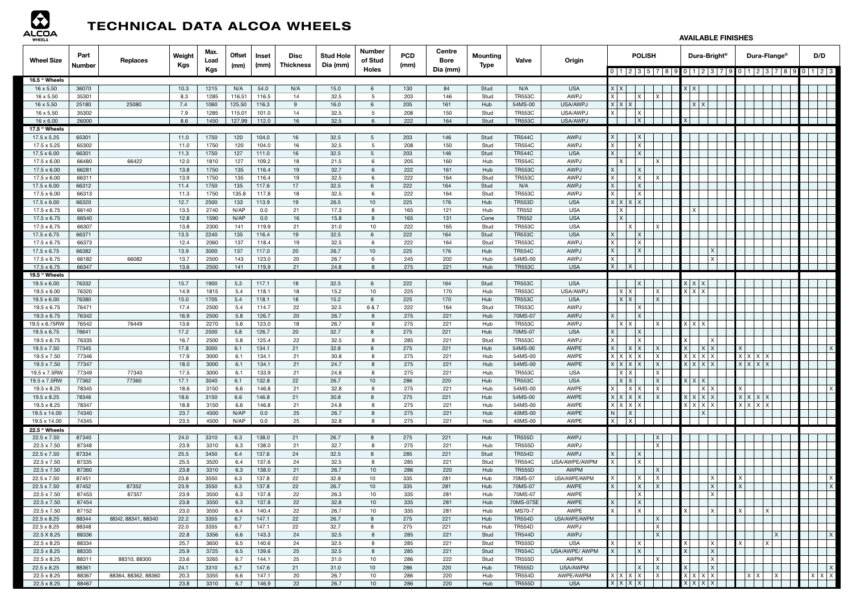| <b>WHEELS</b>                       |                       |                     |               |              |                       |                |                                 |                              |                          |                    |                       |                  |                                |                       | <b>AVAILADLL FINIOHLO</b> |                 |                           |                                   |  |              |                           |              |  |                          |                     |                         |  |                          |     |
|-------------------------------------|-----------------------|---------------------|---------------|--------------|-----------------------|----------------|---------------------------------|------------------------------|--------------------------|--------------------|-----------------------|------------------|--------------------------------|-----------------------|---------------------------|-----------------|---------------------------|-----------------------------------|--|--------------|---------------------------|--------------|--|--------------------------|---------------------|-------------------------|--|--------------------------|-----|
| <b>Wheel Size</b>                   | Part<br><b>Number</b> | <b>Replaces</b>     | Weight<br>Kgs | Max.<br>Load | <b>Offset</b><br>(mm) | Inset<br>(mm)  | <b>Disc</b><br><b>Thickness</b> | <b>Stud Hole</b><br>Dia (mm) | <b>Number</b><br>of Stud | <b>PCD</b><br>(mm) | Centre<br><b>Bore</b> | Mounting<br>Type | Valve                          | Origin                |                           | <b>POLISH</b>   |                           |                                   |  |              |                           |              |  | Dura-Bright <sup>®</sup> |                     |                         |  | Dura-Flange <sup>®</sup> | D/D |
|                                     |                       |                     |               | <b>Kgs</b>   |                       |                |                                 |                              | <b>Holes</b>             |                    | Dia (mm)              |                  |                                |                       |                           |                 |                           |                                   |  |              |                           |              |  |                          | 2357890123790123790 | $1 \mid 2 \mid 3$       |  |                          |     |
| 16.5 "Wheels                        |                       |                     |               |              |                       |                |                                 |                              |                          |                    |                       |                  |                                |                       |                           |                 |                           |                                   |  |              |                           |              |  |                          |                     |                         |  |                          |     |
| 16 x 5.50                           | 36070                 |                     | 10.3          | 1215         | N/A                   | 54.0           | N/A                             | 15.0                         | 6                        | 130                | 84                    | Stud             | N/A                            | <b>USA</b>            | $x \mid x$                |                 |                           |                                   |  | $x \mid x$   |                           |              |  |                          |                     |                         |  |                          |     |
| 16 x 5.50                           | 35301                 |                     | 8.3           | 1285         | 116.51                | 116.5          | 14                              | 32.5                         | 5                        | 203                | 146                   | Stud             | <b>TR553C</b>                  | AWPJ                  |                           |                 | $\times$                  | $\mathsf{X}$                      |  |              |                           |              |  |                          |                     |                         |  |                          |     |
| 16 x 5.50                           | 25180                 | 25080               | 7.4           | 1060         | 125.50                | 116.3          | 9                               | 16.0                         | 6                        | 205                | 161                   | Hub              | 54MS-00                        | USA/AWPJ              | $x \mid x \mid x$         |                 |                           |                                   |  |              | X X                       |              |  |                          |                     |                         |  |                          |     |
| 16 x 5.50                           | 35302                 |                     | 7.9           | 1285         | 115.01                | 101.0          | 14                              | 32.5                         | 5                        | 208                | 150                   | Stud             | <b>TR553C</b>                  | USA/AWPJ              |                           |                 | $\times$                  |                                   |  |              |                           |              |  |                          |                     |                         |  |                          |     |
| $16 \times 6.00$                    | 26000                 |                     | 8.6           | 1450         | 127.99                | 112.0          | 16                              | 32.5                         | 6                        | 222                | 164                   | Stud             | <b>TR553C</b>                  | USA/AWPJ              |                           |                 |                           |                                   |  |              |                           |              |  |                          |                     |                         |  |                          |     |
| 17.5 " Wheels<br>$17.5 \times 5.25$ | 65301                 |                     | 11.0          | 1750         | 120                   | 104.0          | 16                              | 32.5                         | 5                        | 203                | 146                   | Stud             | <b>TR544C</b>                  | AWPJ                  |                           |                 | $\sf X$                   |                                   |  |              |                           |              |  |                          |                     |                         |  |                          |     |
| 17.5 x 5.25                         | 65302                 |                     | 11.0          | 1750         | 120                   | 104.0          | 16                              | 32.5                         | 5                        | 208                | 150                   | Stud             | <b>TR554C</b>                  | AWPJ                  |                           |                 | $\boldsymbol{\mathsf{x}}$ |                                   |  |              |                           |              |  |                          |                     |                         |  |                          |     |
| 17.5 x 6.00                         | 66301                 |                     | 11.3          | 1750         | 127                   | 111.0          | 16                              | 32.5                         | $5\overline{5}$          | 203                | 146                   | Stud             | <b>TR544C</b>                  | <b>USA</b>            | $\mathsf{x}$              |                 | $\mathsf{X}$              |                                   |  |              |                           |              |  |                          |                     |                         |  |                          |     |
| 17.5 x 6.00                         | 66480                 | 66422               | 12.0          | 1810         | 127                   | 109.2          | 18                              | 21.5                         | 6                        | 205                | 160                   | Hub              | <b>TR554C</b>                  | AWPJ                  |                           |                 |                           | $\mathsf{X}$                      |  |              |                           |              |  |                          |                     |                         |  |                          |     |
| $17.5 \times 6.00$                  | 66281                 |                     | 13.8          | 1750         | 135                   | 116.4          | 19                              | 32.7                         | 6                        | 222                | 161                   | Hub              | <b>TR553C</b>                  | AWPJ                  | X                         |                 | $\times$                  |                                   |  |              |                           |              |  |                          |                     |                         |  |                          |     |
| 17.5 x 6.00                         | 66311                 |                     | 13.9          | 1750         | 135                   | 116.4          | 19                              | 32.5                         | 6                        | 222                | 164                   | Stud             | <b>TR553C</b>                  | AWPJ                  |                           |                 | $\times$                  | $\times$                          |  |              |                           |              |  |                          |                     |                         |  |                          |     |
| $17.5 \times 6.00$                  | 66312                 |                     | 11.4          | 1750         | 135                   | 117.6          | 17                              | 32.5                         | 6                        | 222                | 164                   | Stud             | N/A                            | AWPJ                  | $\times$                  |                 | $\times$                  |                                   |  |              |                           |              |  |                          |                     |                         |  |                          |     |
| 17.5 x 6.00                         | 66313                 |                     | 11.3          | 1750         | 135.8                 | 117.8          | 18                              | 32.5                         | 6                        | 222                | 164                   | Stud             | <b>TR553C</b>                  | AWPJ                  |                           |                 |                           |                                   |  |              |                           |              |  |                          |                     |                         |  |                          |     |
| $17.5 \times 6.00$                  | 66320                 |                     | 12.7          | 2500         | 133                   | 113.9          | 19                              | 26.5                         | 10 <sup>1</sup>          | 225                | 176                   | Hub              | <b>TR553D</b>                  | <b>USA</b>            | x   x   x   x             |                 |                           |                                   |  |              |                           |              |  |                          |                     |                         |  |                          |     |
| 17.5 x 6.75                         | 66140                 |                     | 13.5          | 2740         | N/AP                  | 0.0            | 21                              | 17.3                         | 8                        | 165                | 121                   | Hub              | <b>TR552</b>                   | <b>USA</b>            |                           |                 |                           |                                   |  |              | X                         |              |  |                          |                     |                         |  |                          |     |
| $17.5 \times 6.75$                  | 66540                 |                     | 12.8          | 1590         | N/AP                  | 0.0            | 16                              | 15.8                         | 8                        | 165                | 131                   | Cone             | <b>TR552</b>                   | <b>USA</b>            |                           |                 |                           |                                   |  |              |                           |              |  |                          |                     |                         |  |                          |     |
| 17.5 x 6.75                         | 66307                 |                     | 13.8          | 2300         | 141                   | 119.9          | 21                              | 31.0                         | 10                       | 222                | 165                   | Stud             | <b>TR553C</b>                  | <b>USA</b>            |                           | X               |                           | $\mathsf{X}$                      |  |              |                           |              |  |                          |                     |                         |  |                          |     |
| $17.5 \times 6.75$                  | 66371                 |                     | 13.5          | 2240         | 135                   | 116.4          | 19                              | 32.5                         | 6                        | 222                | 164                   | Stud             | <b>TR553C</b>                  | <b>USA</b>            |                           |                 | $\times$                  |                                   |  |              |                           |              |  |                          |                     |                         |  |                          |     |
| 17.5 x 6.75                         | 66373                 |                     | 12.4          | 2060         | 137                   | 118.4          | 19                              | 32.5                         | 6                        | 222                | 164                   | Stud             | <b>TR553C</b>                  | AWPJ                  |                           |                 | $\times$                  |                                   |  |              |                           |              |  |                          |                     |                         |  |                          |     |
| $17.5 \times 6.75$                  | 66382                 |                     | 13.9          | 3000         | 137                   | 117.0          | 20                              | 26.7                         | 10 <sup>1</sup>          | 225                | 176                   | Hub              | <b>TR554C</b>                  | AWPJ                  |                           |                 | $\times$                  |                                   |  |              |                           | $\mathsf{X}$ |  |                          |                     |                         |  |                          |     |
| 17.5 x 6.75                         | 66182                 | 66082               | 13.7          | 2500         | 143                   | 123.0          | 20                              | 26.7                         | 6<br>8                   | 245                | 202                   | Hub              | 54MS-00                        | AWPJ                  | $X \mid$                  |                 |                           |                                   |  |              |                           | $\mathsf{X}$ |  |                          |                     |                         |  |                          |     |
| 17.5 x 6.75<br>19.5 " Wheels        | 66347                 |                     | 13.6          | 2500         | 141                   | 119.9          | 21                              | 24.8                         |                          | 275                | 221                   | Hub              | <b>TR553C</b>                  | <b>USA</b>            |                           | $\vert$ X       |                           |                                   |  |              |                           |              |  |                          |                     |                         |  |                          |     |
| $19.5 \times 6.00$                  | 76332                 |                     | 15.7          | 1900         | 5.3                   | 117.1          | 18                              | 32.5                         | 6                        | 222                | 164                   | Stud             | <b>TR553C</b>                  | <b>USA</b>            |                           |                 | $\times$                  |                                   |  |              | $x \mid x \mid x$         |              |  |                          |                     |                         |  |                          |     |
| $19.5 \times 6.00$                  | 76320                 |                     | 14.9          | 1815         | 5.4                   | 118.1          | 18                              | 15.2                         | 10                       | 225                | 170                   | Hub              | <b>TR553C</b>                  | USA/AWPJ              |                           | $X \mid X$      |                           | $\mathsf{X}$                      |  |              | $x \mid x \mid x$         |              |  |                          |                     |                         |  |                          |     |
| $19.5 \times 6.00$                  | 76380                 |                     | 15.0          | 1705         | 5.4                   | 118.1          | 18                              | 15.2                         | 8                        | 225                | 170                   | Hub              | <b>TR553C</b>                  | <b>USA</b>            |                           | X X             |                           | $\mathsf{X}$                      |  |              |                           |              |  |                          |                     |                         |  |                          |     |
| 19.5 x 6.75                         | 76471                 |                     | 17.4          | 2500         | 5.4                   | 114.7          | 22                              | 32.5                         | 6 & 7                    | 222                | 164                   | Stud             | <b>TR553C</b>                  | AWPJ                  |                           |                 | Χ                         |                                   |  |              |                           |              |  |                          |                     |                         |  |                          |     |
| $19.5 \times 6.75$                  | 76342                 |                     | 16.9          | 2500         | 5.8                   | 126.7          | 20                              | 26.7                         | 8                        | 275                | 221                   | Hub              | 70MS-07                        | AWPJ                  |                           |                 | $\times$                  |                                   |  |              |                           |              |  |                          |                     |                         |  |                          |     |
| 19.5 x 6.75RW                       | 76542                 | 76449               | 13.6          | 2270         | 5.6                   | 123.0          | 18                              | 26.7                         | 8                        | 275                | 221                   | Hub              | <b>TR553C</b>                  | AWPJ                  |                           | ΙX              |                           | $\mathsf{X}$                      |  |              | $X$ $\mid$ $X$ $\mid$ $X$ |              |  |                          |                     |                         |  |                          |     |
| $19.5 \times 6.75$                  | 76641                 |                     | 17.2          | 2500         | 5.8                   | 126.7          | 20                              | 32.7                         | 8                        | 275                | 221                   | Hub              | 70MS-07                        | <b>USA</b>            |                           |                 | $\times$                  |                                   |  |              |                           |              |  |                          |                     |                         |  |                          |     |
| 19.5 x 6.75                         | 76335                 |                     | 16.7          | 2500         | 5.8                   | 125.4          | 22                              | 32.5                         | 8                        | 285                | 221                   | Stud             | <b>TR553C</b>                  | AWPJ                  |                           |                 |                           |                                   |  |              |                           | ΙX           |  |                          |                     |                         |  |                          |     |
| 19.5 x 7.50                         | 77345                 |                     | 17.8          | 3000         | 6.1                   | 134.1          | 21                              | 32.8                         | 8                        | 275                | 221                   | Hub              | 54MS-00                        | AWPE                  |                           | $\mathsf{X}$    | $\times$                  | $\mathsf{X}$                      |  |              |                           | $x \mid x$   |  |                          |                     | $\mathsf{X}$            |  |                          |     |
| 19.5 x 7.50                         | 77346                 |                     | 17.9          | 3000         | 6.1                   | 134.1          | 21                              | 30.8                         | 8                        | 275                | 221                   | Hub              | 54MS-00                        | AWPE                  | x   x   x   x             |                 |                           | $\mathsf{X}$                      |  |              | $x \mid x \mid x \mid x$  |              |  | $x \mid x \mid x \mid x$ |                     |                         |  |                          |     |
| 19.5 x 7.50                         | 77347                 |                     | 18.0          | 3000         | 6.1                   | 134.1          | 21                              | 24.7                         | 8                        | 275                | 221                   | Hub              | 54MS-00                        | AWPE                  | $x \mid x \mid x \mid x$  |                 |                           | X                                 |  |              | X X X X                   |              |  | $x \mid x \mid x \mid x$ |                     |                         |  |                          |     |
| 19.5 x 7.5RW                        | 77349                 | 77340               | 17.5          | 3000         | 6.1                   | 133.9          | 21                              | 24.8                         | 8                        | 275                | 221                   | Hub              | <b>TR553C</b>                  | <b>USA</b>            |                           | $x \mid x$      |                           | $\mathsf{X}$                      |  |              |                           |              |  |                          |                     |                         |  |                          |     |
| 19.5 x 7.5RW                        | 77362                 | 77360               | 17.1          | 3040         | 6.1                   | 132.8          | 22                              | 26.7                         | 10 <sup>1</sup><br>8     | 286                | 220                   | Hub              | <b>TR553C</b>                  | <b>USA</b>            | $\times$                  | X X<br> x x     |                           | X                                 |  |              | $x \mid x \mid x$         |              |  |                          |                     |                         |  |                          |     |
| 19.5 x 8.25<br>19.5 x 8.25          | 78345<br>78346        |                     | 18.6<br>18.6  | 3150<br>3150 | 6.6                   | 146.8<br>146.8 | 21<br>21                        | 32.8<br>30.8                 | 8                        | 275<br>275         | 221<br>221            | Hub<br>Hub       | 54MS-00<br>54MS-00             | AWPE<br>AWPE          | $x \mid x \mid x \mid x$  |                 |                           | $\vert$ X $\vert$<br>$\mathsf{X}$ |  |              | $x \mid x \mid x \mid x$  | X X          |  | $x \mid x \mid x \mid x$ |                     | $\mathsf{X}$            |  |                          |     |
| 19.5 x 8.25                         | 78347                 |                     | 18.8          | 3150         | 6.6<br>6.6            | 146.8          | 21                              | 24.8                         | 8                        | 275                | 221                   | Hub              | 54MS-00                        | AWPE                  | $x \mid x \mid x \mid x$  |                 |                           |                                   |  |              | $X$ $X$ $X$ $X$           |              |  | X X X                    |                     |                         |  |                          |     |
| 19.5 x 14.00                        | 74340                 |                     | 23.7          | 4500         | N/AP                  | 0.0            | 25                              | 26.7                         | 8                        | 275                | 221                   | Hub              | 40MS-00                        | AWPE                  | N                         | $\vert x \vert$ |                           |                                   |  |              | $\times$                  |              |  |                          |                     |                         |  |                          |     |
| 19.5 x 14.00                        | 74345                 |                     | 23.5          | 4500         | N/AP                  | 0.0            | 25                              | 32.8                         | 8                        | 275                | 221                   | Hub              | 40MS-00                        | AWPE                  | $x \mid$                  | X               |                           |                                   |  |              |                           |              |  |                          |                     |                         |  |                          |     |
| 22.5 " Wheels                       |                       |                     |               |              |                       |                |                                 |                              |                          |                    |                       |                  |                                |                       |                           |                 |                           |                                   |  |              |                           |              |  |                          |                     |                         |  |                          |     |
| 22.5 x 7.50                         | 87340                 |                     | 24.0          | 3310         | 6.3                   | 138.0          | 21                              | 26.7                         | 8                        | 275                | 221                   | Hub              | <b>TR555D</b>                  | AWPJ                  |                           |                 |                           | X                                 |  |              |                           |              |  |                          |                     |                         |  |                          |     |
| 22.5 x 7.50                         | 87348                 |                     | 23.9          | 3310         | 6.3                   | 138.0          | 21                              | 32.7                         | 8                        | 275                | 221                   | Hub              | <b>TR555D</b>                  | AWPJ                  |                           |                 |                           | $\mathsf{X}$                      |  |              |                           |              |  |                          |                     |                         |  |                          |     |
| 22.5 x 7.50                         | 87334                 |                     | 25.5          | 3450         | 6.4                   | 137.6          | 24                              | 32.5                         | 8                        | 285                | 221                   | Stud             | <b>TR554D</b>                  | AWPJ                  | $\times$                  |                 | $\mathsf{X}$              |                                   |  |              |                           |              |  |                          |                     |                         |  |                          |     |
| 22.5 x 7.50                         | 87335                 |                     | 25.5          | 3520         | 6.4                   | 137.6          | 24                              | 32.5                         | 8                        | 285                | 221                   | Stud             | <b>TR554C</b>                  | USA/AWPE/AWPM         |                           |                 | x                         |                                   |  |              |                           |              |  |                          |                     |                         |  |                          |     |
| 22.5 x 7.50                         | 87360                 |                     | 23.8          | 3310         | 6.3                   | 138.0          | 21                              | 26.7                         | 10                       | 286                | 220                   | Hub              | <b>TR555D</b>                  | <b>AWPM</b>           |                           |                 |                           | $\mathsf{X}$                      |  |              |                           |              |  |                          |                     |                         |  |                          |     |
| 22.5 x 7.50                         | 87451                 |                     | 23.8          | 3550         | 6.3                   | 137.8          | 22                              | 32.8                         | 10 <sup>1</sup>          | 335                | 281                   | Hub              | 70MS-07                        | USA/AWPE/AWPM         |                           |                 | $\times$                  | $\mathsf{X}$                      |  |              |                           | $\mathsf{X}$ |  |                          |                     | $\mathsf X$             |  |                          |     |
| 22.5 x 7.50                         | 87452                 | 87352               | 23.9          | 3550         | 6.3                   | 137.8          | 22                              | 26.7                         | 10 <sup>1</sup>          | 335                | 281                   | Hub              | 70MS-07                        | AWPE                  | $x \mid$                  |                 | $\mathsf{X}$              | $\mathsf{X}$                      |  |              |                           | x            |  |                          |                     | $\overline{\mathsf{x}}$ |  |                          |     |
| 22.5 x 7.50                         | 87453                 | 87357               | 23.9          | 3550         | 6.3                   | 137.8          | 22                              | 26.3                         | 10                       | 335                | 281                   | Hub              | 70MS-07                        | AWPE                  |                           |                 | X                         |                                   |  |              |                           | $\mathsf{X}$ |  |                          |                     |                         |  |                          |     |
| 22.5 x 7.50                         | 87454                 |                     | 23.8          | 3550         | 6.3                   | 137.8          | 22                              | 32.8                         | 10                       | 335                | 281                   | Hub              | 70MS-07SE                      | AWPE                  | $\times$                  |                 | $\mathsf X$               |                                   |  |              |                           |              |  |                          |                     |                         |  |                          |     |
| 22.5 x 7.50                         | 87152                 |                     | 23.0          | 3550         | 6.4                   | 140.4          | 22                              | 26.7                         | 10                       | 335                | 281                   | Hub              | MS70-7                         | AWPE                  |                           |                 | $\times$                  |                                   |  | $\mathsf{X}$ |                           | $\mathsf{X}$ |  | $\mathsf{X}$             |                     |                         |  |                          |     |
| 22.5 x 8.25<br>22.5 x 8.25          | 88344<br>88348        | 88342, 88341, 88340 | 22.2<br>22.0  | 3355<br>3355 | 6.7<br>6.7            | 147.1<br>147.1 | 22<br>22                        | 26.7<br>32.7                 | 8<br>8                   | 275<br>275         | 221<br>221            | Hub<br>Hub       | <b>TR554D</b><br><b>TR554D</b> | USA/AWPE/AWPM<br>AWPJ |                           |                 |                           | $\vert$ X $\vert$<br>$\mathsf{X}$ |  |              |                           |              |  |                          |                     |                         |  |                          |     |
| 22.5 X 8.25                         | 88336                 |                     | 22.8          | 3356         | 6.6                   | 143.3          | 24                              | 32.5                         | 8                        | 285                | 221                   | Stud             | <b>TR544D</b>                  | AWPJ                  |                           |                 |                           | $\mathsf{X}$                      |  |              |                           |              |  |                          | $\times$            | $\mathsf X$             |  |                          |     |
| 22.5 x 8.25                         | 88334                 |                     | 25.7          | 3650         | 6.5                   | 140.6          | 24                              | 32.5                         | 8                        | 285                | 221                   | Stud             | <b>TR555D</b>                  | <b>USA</b>            |                           |                 | X                         |                                   |  |              |                           | $\mathsf{X}$ |  | $\mathsf{X}$             |                     |                         |  |                          |     |
| 22.5 x 8.25                         | 88335                 |                     | 25.9          | 3725         | 6.5                   | 139.6          | 25                              | 32.5                         | 8                        | 285                | 221                   | Stud             | <b>TR554C</b>                  | USA/AWPE/ AWPM        |                           |                 | $\mathsf{X}$              |                                   |  |              |                           | $\mathsf{X}$ |  |                          |                     |                         |  |                          |     |
| 22.5 x 8.25                         | 88311                 | 88310, 88300        | 23.6          | 3265         | 6.7                   | 144.1          | 25                              | 31.0                         | 10                       | 286                | 222                   | Stud             | <b>TR555D</b>                  | <b>AWPM</b>           |                           |                 |                           | $\mathsf{X}$                      |  |              |                           | $\mathsf{X}$ |  |                          |                     |                         |  |                          |     |
| 22.5 x 8.25                         | 88361                 |                     | 24.1          | 3310         | 6.7                   | 147.6          | 21                              | 31.0                         | 10 <sup>1</sup>          | 286                | 220                   | Hub              | <b>TR555D</b>                  | USA/AWPM              |                           |                 | X                         | $\mathsf{X}$                      |  |              |                           | $\mathsf{X}$ |  |                          |                     | $\mathsf X$             |  |                          |     |
| 22.5 x 8.25                         | 88367                 | 88364, 88362, 88360 | 20.3          | 3355         | 6.6                   | 147.1          | 20                              | 26.7                         | 10                       | 286                | 220                   | Hub              | <b>TR554D</b>                  | AWPE/AWPM             | x   x   x   x             |                 |                           | $\mathsf{X}$                      |  |              | $x \mid x \mid x \mid x$  |              |  | x   x                    | $\times$            | $X$ $X$ $X$             |  |                          |     |
| 22.5 x 8.25                         | 88467                 |                     | 23.8          | 3310         | 6.7                   | 146.9          | 22                              | 26.7                         | 10                       | 286                | 220                   | Hub              | <b>TR555D</b>                  | <b>USA</b>            | $x \mid x \mid x \mid x$  |                 |                           |                                   |  |              | $X$ $X$ $X$ $X$           |              |  |                          |                     |                         |  |                          |     |



## TECHNICAL DATA ALCOA WHEELS

#### AVAILABLE FINISHES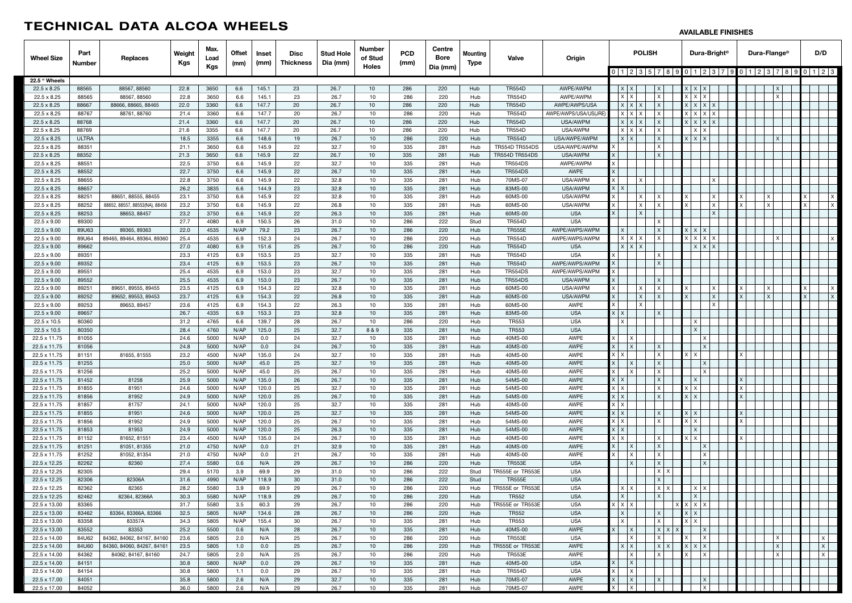## TECHNICAL DATA ALCOA WHEELS<br>AVAILABLE FINISHES

| <b>Wheel Size</b>                        | Part<br>Number | <b>Replaces</b>                     | Weight<br><b>Kgs</b> | Max.<br>Load<br><b>Kgs</b> | <b>Offset</b><br>(mm) | <b>Inset</b><br>(mm) | <b>Disc</b><br>Thickness | <b>Stud Hole</b><br>Dia (mm) | Number<br>of Stud<br><b>Holes</b>  | <b>PCD</b><br>(mm) | Centre<br><b>Bore</b><br>Dia (mm) | <b>Mounting</b><br><b>Type</b> | <b>Valve</b>                     | Origin                   | <b>POLISH</b><br>$012357890123790123789012378901237$ |              |                           |                                                            | Dura-Bright <sup>®</sup>             | Dura-Flange <sup>®</sup> |                           |  | D/D          |  |
|------------------------------------------|----------------|-------------------------------------|----------------------|----------------------------|-----------------------|----------------------|--------------------------|------------------------------|------------------------------------|--------------------|-----------------------------------|--------------------------------|----------------------------------|--------------------------|------------------------------------------------------|--------------|---------------------------|------------------------------------------------------------|--------------------------------------|--------------------------|---------------------------|--|--------------|--|
| 22.5 " Wheels                            |                |                                     |                      |                            |                       |                      |                          |                              |                                    |                    |                                   |                                |                                  |                          |                                                      |              |                           |                                                            |                                      |                          |                           |  |              |  |
| $22.5 \times 8.25$                       | 88565          | 88567, 88560                        | 22.8                 | 3650                       | 6.6                   | 145.1                | 23                       | 26.7                         | 10 <sup>°</sup>                    | 286                | 220                               | Hub                            | <b>TR554D</b>                    | AWPE/AWPM                | $X$ $ X $                                            |              | X                         | $\left\langle \ \vert \ \chi \ \vert \ \chi \right\rangle$ |                                      |                          | $\mathsf{X}$              |  |              |  |
| 22.5 x 8.25                              | 88565          | 88567, 88560                        | 22.8                 | 3650                       | 6.6                   | 145.1                | 23                       | 26.7                         | 10                                 | 286                | 220                               | Hub                            | <b>TR554D</b>                    | AWPE/AWPM                | X X                                                  |              | $\mathsf{X}$              | $x \mid x \mid x$                                          |                                      |                          | $\mathsf{X}$              |  |              |  |
| 22.5 x 8.25                              | 88667          | 88666, 88665, 88465                 | 22.0                 | 3360                       | 6.6                   | 147.7                | 20                       | 26.7                         | 10                                 | 286                | 220                               | Hub                            | <b>TR554D</b>                    | AWPE/AWPS/USA            | X X X                                                |              | $\vert x$                 |                                                            | $x \mid x \mid x \mid x$             |                          |                           |  |              |  |
| 22.5 x 8.25                              | 88767          | 88761, 88760                        | 21.4                 | 3360                       | 6.6                   | 147.7                | 20                       | 26.7                         | 10                                 | 286                | 220                               | Hub                            | <b>TR554D</b>                    | AWPE/AWPS/USA/US(JRE)    | $X$   $X$   $X$                                      |              | X                         |                                                            | $X$ $\mid$ $X$ $\mid$ $X$ $\mid$ $X$ |                          |                           |  |              |  |
| 22.5 x 8.25                              | 88768          |                                     | 21.4                 | 3360                       | 6.6                   | 147.7                | 20                       | 26.7                         | 10                                 | 286                | 220                               | Hub                            | <b>TR554D</b>                    | USA/AWPM                 | $x \mid x \mid x$                                    |              | x                         |                                                            | $x \mid x \mid x \mid x$             |                          |                           |  |              |  |
| 22.5 x 8.25                              | 88769          |                                     | 21.6                 | 3355                       | 6.6                   | 147.7                | 20                       | 26.7                         | 10                                 | 286                | 220                               | Hub                            | <b>TR554D</b>                    | USA/AWPM                 | x   x   x                                            |              | x                         | $x \mid x$                                                 |                                      |                          |                           |  |              |  |
| 22.5 x 8.25                              | <b>ULTRA</b>   |                                     | 18.5                 | 3355                       | 6.6                   | 148.6                | 19                       | 26.7                         | 10                                 | 286                | 220                               | Hub                            | <b>TR554D</b>                    | USA/AWPE/AWPM            | $X \mid X$                                           |              | l x                       | $\vert x \vert x$                                          |                                      |                          | $\mathsf{X}$              |  |              |  |
| 22.5 x 8.25                              | 88351          |                                     | 21.1                 | 3650                       | 6.6                   | 145.9                | 22                       | 32.7                         | 10                                 | 335                | 281                               | Hub                            | TR554D TR554DS                   | USA/AWPE/AWPM            |                                                      |              | l x                       |                                                            |                                      |                          |                           |  |              |  |
| 22.5 x 8.25<br>22.5 x 8.25               | 88352<br>88551 |                                     | 21.3<br>22.5         | 3650<br>3750               | 6.6<br>6.6            | 145.9<br>145.9       | 22<br>22                 | 26.7<br>32.7                 | 10<br>10                           | 335<br>335         | 281<br>281                        | Hub<br>Hub                     | <b>TR554D TR554DS</b><br>TR554DS | USA/AWPM<br>AWPE/AWPM    |                                                      |              | x                         |                                                            |                                      |                          |                           |  |              |  |
| $22.5 \times 8.25$                       | 88552          |                                     | 22.7                 | 3750                       | 6.6                   | 145.9                | 22                       | 26.7                         | 10 <sup>1</sup>                    | 335                | 281                               | Hub                            | <b>TR554DS</b>                   | AWPE                     |                                                      |              |                           |                                                            |                                      |                          |                           |  |              |  |
| 22.5 x 8.25                              | 88655          |                                     | 22.8                 | 3750                       | 6.6                   | 145.9                | 22                       | 32.8                         | 10 <sup>1</sup>                    | 335                | 281                               | Hub                            | 70MS-07                          | USA/AWPM                 |                                                      | $\times$     |                           |                                                            | X                                    |                          |                           |  |              |  |
| 22.5 x 8.25                              | 88657          |                                     | 26.2                 | 3835                       | 6.6                   | 144.9                | 23                       | 32.8                         | 10                                 | 335                | 281                               | Hub                            | 83MS-00                          | USA/AWPM                 | $\mathsf{X}$                                         |              |                           |                                                            |                                      |                          |                           |  |              |  |
| $22.5 \times 8.25$                       | 88251          | 88651, 88555, 88455                 | 23.1                 | 3750                       | 6.6                   | 145.9                | 22                       | 32.8                         | 10                                 | 335                | 281                               | Hub                            | 60MS-00                          | USA/AWPM                 |                                                      | $\times$     | l x                       |                                                            | $\times$                             |                          |                           |  |              |  |
| $22.5 \times 8.25$                       | 88252          | 88652, 88557, 88553(NA), 88456      | 23.2                 | 3750                       | 6.6                   | 145.9                | 22                       | 26.8                         | 10                                 | 335                | 281                               | Hub                            | 60MS-00                          | USA/AWPM                 |                                                      | $\times$     | l x                       |                                                            | $\times$ 1                           |                          |                           |  |              |  |
| 22.5 x 8.25                              | 88253          | 88653, 88457                        | 23.2                 | 3750                       | 6.6                   | 145.9                | 22                       | 26.3                         | 10                                 | 335                | 281                               | Hub                            | 60MS-00                          | <b>USA</b>               |                                                      | $\mathsf{X}$ |                           |                                                            | $\times$                             |                          |                           |  |              |  |
| $22.5 \times 9.00$                       | 89300          |                                     | 27.7                 | 4080                       | 6.9                   | 150.5                | 26                       | 31.0                         | 10                                 | 286                | 222                               | Stud                           | <b>TR554D</b>                    | <b>USA</b>               |                                                      |              | $\boldsymbol{\mathsf{x}}$ |                                                            |                                      |                          |                           |  |              |  |
| $22.5 \times 9.00$                       | 89U63          | 89365, 89363                        | 22.0                 | 4535                       | N/AP                  | 79.2                 | 23                       | 26.7                         | 10 <sup>1</sup>                    | 286                | 220                               | Hub                            | <b>TR555E</b>                    | AWPE/AWPS/AWPM           | $\mathsf{X}$                                         |              | $\vert x \vert$           | $x \mid x \mid x$                                          |                                      |                          |                           |  |              |  |
| 22.5 x 9.00                              | 89U64          | 89465, 89464, 89364, 89360          | 25.4                 | 4535                       | 6.9                   | 152.3                | 24                       | 26.7                         | 10                                 | 286                | 220                               | Hub                            | <b>TR554D</b>                    | AWPE/AWPS/AWPM           | $X$   $X$   $X$                                      |              | x                         |                                                            | x   x   x   x                        |                          | $\times$                  |  |              |  |
| $22.5 \times 9.00$<br>$22.5 \times 9.00$ | 89662<br>89351 |                                     | 27.0<br>23.3         | 4080<br>4125               | 6.9<br>6.9            | 151.6<br>153.5       | 25<br>23                 | 26.7<br>32.7                 | 10<br>10 <sup>1</sup>              | 286<br>335         | 220<br>281                        | Hub<br>Hub                     | <b>TR554D</b><br><b>TR554D</b>   | <b>USA</b><br><b>USA</b> | $X$   $X$   $X$                                      |              | , <b>x</b>                |                                                            | $x \mid x \mid x$                    |                          |                           |  |              |  |
| $22.5 \times 9.00$                       | 89352          |                                     | 23.4                 | 4125                       | 6.9                   | 153.5                | 23                       | 26.7                         | 10 <sup>1</sup>                    | 335                | 281                               | Hub                            | <b>TR554D</b>                    | AWPE/AWPS/AWPM           |                                                      |              | $\mathsf{X}$              |                                                            |                                      |                          |                           |  |              |  |
| 22.5 x 9.00                              | 89551          |                                     | 25.4                 | 4535                       | 6.9                   | 153.0                | 23                       | 32.7                         | 10                                 | 335                | 281                               | Hub                            | <b>TR554DS</b>                   | AWPE/AWPS/AWPM           |                                                      |              |                           |                                                            |                                      |                          |                           |  |              |  |
| 22.5 x 9.00                              | 89552          |                                     | 25.5                 | 4535                       | 6.9                   | 153.0                | 23                       | 26.7                         | 10                                 | 335                | 281                               | Hub                            | <b>TR554DS</b>                   | USA/AWPM                 |                                                      |              | X                         |                                                            |                                      |                          |                           |  |              |  |
| 22.5 x 9.00                              | 89251          | 89651, 89555, 89455                 | 23.5                 | 4125                       | 6.9                   | 154.3                | 22                       | 32.8                         | 10                                 | 335                | 281                               | Hub                            | 60MS-00                          | USA/AWPM                 |                                                      | X            | l x                       |                                                            |                                      |                          |                           |  |              |  |
| 22.5 x 9.00                              | 89252          | 89652, 89553, 89453                 | 23.7                 | 4125                       | 6.9                   | 154.3                | 22                       | 26.8                         | 10 <sup>1</sup>                    | 335                | 281                               | Hub                            | 60MS-00                          | USA/AWPM                 |                                                      | $\mathsf{X}$ | x                         |                                                            |                                      |                          |                           |  |              |  |
| 22.5 x 9.00                              | 89253          | 89653, 89457                        | 23.6                 | 4125                       | 6.9                   | 154.3                | 22                       | 26.3                         | 10                                 | 335                | 281                               | Hub                            | 60MS-00                          | AWPE                     |                                                      | $\times$     |                           |                                                            |                                      |                          |                           |  |              |  |
| 22.5 x 9.00                              | 89657          |                                     | 26.7                 | 4335                       | 6.9                   | 153.3                | 23                       | 32.8                         | 10                                 | 335                | 281                               | Hub                            | 83MS-00                          | <b>USA</b>               | $X \mid X$                                           |              | X                         |                                                            |                                      |                          |                           |  |              |  |
| 22.5 x 10.5                              | 80360          |                                     | 31.2                 | 4765                       | 6.6                   | 139.7                | 28                       | 26.7                         | 10 <sup>1</sup>                    | 286                | 220                               | Hub                            | <b>TR553</b>                     | <b>USA</b>               | $\mathsf{x}$                                         |              |                           | $\times$                                                   |                                      |                          |                           |  |              |  |
| 22.5 x 10.5                              | 80350          |                                     | 28.4                 | 4760                       | N/AP                  | 125.0                | 25                       | 32.7                         | 8 & 9                              | 335                | 281                               | Hub                            | <b>TR553</b>                     | <b>USA</b>               |                                                      |              |                           | $\mathsf{X}$                                               |                                      |                          |                           |  |              |  |
| 22.5 x 11.75<br>22.5 x 11.75             | 81055<br>81056 |                                     | 24.6                 | 5000<br>5000               | N/AP<br>N/AP          | 0.0                  | 24<br>24                 | 32.7<br>26.7                 | 10                                 | 335<br>335         | 281<br>281                        | Hub<br>Hub                     | 40MS-00<br>40MS-00               | AWPE<br>AWPE             | X<br>$\vert$ X                                       |              | $\vert$ X                 |                                                            | X<br>X                               |                          |                           |  |              |  |
| 22.5 x 11.75                             | 81151          | 81655, 81555                        | 24.8<br>23.2         | 4500                       | N/AP                  | 0.0<br>135.0         | 24                       | 32.7                         | 10<br>10                           | 335                | 281                               | Hub                            | 40MS-00                          | AWPE                     | X                                                    |              | X                         | X                                                          |                                      |                          |                           |  |              |  |
| 22.5 x 11.75                             | 81255          |                                     | 25.0                 | 5000                       | N/AP                  | 45.0                 | 25                       | 32.7                         | 10 <sub>1</sub>                    | 335                | 281                               | Hub                            | 40MS-00                          | AWPE                     | x<br>$\vert x \vert$                                 |              | $\vert x \vert$           |                                                            | $\vert x \vert$                      |                          |                           |  |              |  |
| 22.5 x 11.75                             | 81256          |                                     | 25.2                 | 5000                       | N/AP                  | 45.0                 | 25                       | 26.7                         | 10                                 | 335                | 281                               | Hub                            | 40MS-00                          | AWPE                     | $\mathsf{X}$                                         |              | $\mathsf{X}$              |                                                            | $\times$                             |                          |                           |  |              |  |
| 22.5 x 11.75                             | 81452          | 81258                               | 25.9                 | 5000                       | N/AP                  | 135.0                | 26                       | 26.7                         | 10                                 | 335                | 281                               | Hub                            | 54MS-00                          | AWPE                     | $x \mid x \mid$                                      |              | $\mathsf{X}$              | $\mathsf{X}$                                               |                                      |                          |                           |  |              |  |
| 22.5 x 11.75                             | 81855          | 81951                               | 24.6                 | 5000                       | N/AP                  | 120.0                | 25                       | 32.7                         | 10 <sup>1</sup>                    | 335                | 281                               | Hub                            | 54MS-00                          | AWPE                     | $X \mid X$                                           |              | x                         | $\Box$ X                                                   |                                      |                          |                           |  |              |  |
| 22.5 x 11.75                             | 81856          | 81952                               | 24.9                 | 5000                       | N/AP                  | 120.0                | 25                       | 26.7                         | 10 <sup>1</sup>                    | 335                | 281                               | Hub                            | 54MS-00                          | AWPE                     | $x \mid x$                                           |              | $\vert x \vert$           | $x \mid x$                                                 |                                      |                          |                           |  |              |  |
| 22.5 x 11.75                             | 81857          | 81757                               | 24.1                 | 5000                       | N/AP                  | 120.0                | 25                       | 32.7                         | 10 <sup>1</sup>                    | 335                | 281                               | Hub                            | 40MS-00                          | AWPE                     | $X \mid X$                                           |              |                           |                                                            |                                      |                          |                           |  |              |  |
| 22.5 x 11.75                             | 81855          | 81951                               | 24.6                 | 5000                       | N/AP                  | 120.0                | 25                       | 32.7                         | 10                                 | 335                | 281                               | Hub                            | 54MS-00                          | AWPE                     | $x \mid x$                                           |              | $\vert x \vert$           | <   x                                                      |                                      |                          |                           |  |              |  |
| 22.5 x 11.75                             | 81856          | 81952                               | 24.9                 | 5000                       | N/AP                  | 120.0                | 25                       | 26.7                         | 10                                 | 335                | 281                               | Hub                            | 54MS-00                          | AWPE                     | $X \mid X$                                           |              | ΙX                        | X                                                          |                                      |                          |                           |  |              |  |
| 22.5 x 11.75                             | 81853          | 81953                               | 24.9                 | 5000                       | N/AP                  | 120.0                | 25                       | 26.3                         | 10 <sup>1</sup>                    | 335                | 281                               | Hub                            | 54MS-00                          | AWPE                     | $x \mid x$                                           |              | l x                       | $\mathsf{X}$                                               |                                      |                          |                           |  |              |  |
| 22.5 x 11.75<br>22.5 x 11.75             | 81152<br>81251 | 81652, 81551<br>81051, 81355        | 23.4<br>21.0         | 4500<br>4750               | N/AP<br>N/AP          | 135.0<br>0.0         | 24<br>21                 | 26.7<br>32.9                 | 10<br>10                           | 335<br>335         | 281<br>281                        | Hub<br>Hub                     | 40MS-00<br>40MS-00               | AWPE<br>AWPE             | $x \mid x$<br>X<br>$\vert$ X                         |              | $\vert x \vert$           | X                                                          | $\times$                             |                          |                           |  |              |  |
| 22.5 x 11.75                             | 81252          | 81052, 81354                        | 21.0                 | 4750                       | N/AP                  | 0.0                  | 21                       | 26.7                         | 10                                 | 335                | 281                               | Hub                            | 40MS-00                          | AWPE                     | X                                                    |              | x                         |                                                            | X                                    |                          |                           |  |              |  |
| 22.5 x 12.25                             | 82262          | 82360                               | 27.4                 | 5580                       | 0.6                   | N/A                  | 29                       | 26.7                         | 10 <sup>1</sup>                    | 286                | 220                               | Hub                            | <b>TR553E</b>                    | <b>USA</b>               | $\vert x \vert$                                      |              | $\mathsf{X}$              |                                                            | $\mathsf{x}$                         |                          |                           |  |              |  |
| 22.5 x 12.25                             | 82305          |                                     | 29.4                 | 5170                       | 3.9                   | 69.9                 | 29                       | 31.0                         | 10                                 | 286                | 222                               | Stud                           | TR555E or TR553E                 | <b>USA</b>               |                                                      |              | X X                       |                                                            |                                      |                          |                           |  |              |  |
| 22.5 x 12.25                             | 82306          | 82306A                              | 31.6                 | 4990                       | N/AP                  | 118.9                | 30                       | 31.0                         | 10                                 | 286                | 222                               | Stud                           | <b>TR555E</b>                    | <b>USA</b>               |                                                      |              | X                         |                                                            |                                      |                          |                           |  |              |  |
| 22.5 x 12.25                             | 82362          | 82365                               | 28.2                 | 5580                       | 3.9                   | 69.9                 | 29                       | 26.7                         | 10                                 | 286                | 220                               | Hub                            | TR555E or TR553E                 | <b>USA</b>               | X   X                                                |              | X X                       | $x \mid x$                                                 |                                      |                          |                           |  |              |  |
| 22.5 x 12.25                             | 82462          | 82364, 82366A                       | 30.3                 | 5580                       | N/AP                  | 118.9                | 29                       | 26.7                         | 10 <sup>1</sup>                    | 286                | 220                               | Hub                            | <b>TR552</b>                     | <b>USA</b>               | $\mathsf{X}$                                         |              | $\vert x \vert$           | x                                                          |                                      |                          |                           |  |              |  |
| 22.5 x 13.00                             | 83365          |                                     | 31.7                 | 5580                       | 3.5                   | 60.3                 | 29                       | 26.7                         | 10                                 | 286                | 220                               | Hub                            | TR555E or TR553E                 | <b>USA</b>               | $X \mid X \mid X$                                    |              |                           | $x \mid x \mid x$                                          |                                      |                          |                           |  |              |  |
| 22.5 x 13.00                             | 83462          | 83364, 83366A, 83366                | 32.5                 | 5805                       | N/AP                  | 134.6                | 28                       | 26.7                         | 10                                 | 286                | 220                               | Hub                            | <b>TR552</b>                     | <b>USA</b>               | X                                                    |              | $\vert$ X                 | $x \mid x$                                                 |                                      |                          |                           |  |              |  |
| 22.5 x 13.00                             | 83358          | 83357A                              | 34.3                 | 5805                       | N/AP                  | 155.4                | 30                       | 26.7                         | 10                                 | 335                | 281                               | Hub                            | <b>TR553</b>                     | <b>USA</b>               | $\mathsf{X}$<br>$\times$                             |              | $\mathsf{X}$              | $X \mid X$                                                 |                                      |                          |                           |  |              |  |
| 22.5 x 13.00<br>22.5 x 14.00             | 83552<br>84U62 | 83353<br>84362, 84062, 84167, 84160 | 25.2<br>23.6         | 5500<br>5805               | 0.6<br>2.0            | N/A<br>N/A           | 28<br>25                 | 26.7<br>26.7                 | 10 <sup>1</sup><br>10 <sup>1</sup> | 335<br>286         | 281<br>220                        | Hub<br>Hub                     | 40MS-00<br><b>TR553E</b>         | AWPE<br><b>USA</b>       | $\vert$ X<br>$\mathsf{I} \times$                     |              | x x <br>$\mathsf{X}$      |                                                            | $\mathsf{X}$<br>  X                  |                          | $\mathsf{X}$              |  | $\mathsf{X}$ |  |
| 22.5 x 14.00                             | 84U60          | 84360, 84060, 84267, 84161          | 23.5                 | 5805                       | 1.0                   | 0.0                  | 25                       | 26.7                         | 10 <sup>1</sup>                    | 286                | 220                               | Hub                            | TR555E or TR553E                 | AWPE                     | x x                                                  |              | X X                       | $\vert x \vert x$                                          |                                      |                          | $\mathsf{X}$              |  | X            |  |
| 22.5 x 14.00                             | 84362          | 84062, 84167, 84160                 | 24.7                 | 5805                       | 2.0                   | N/A                  | 25                       | 26.7                         | 10                                 | 286                | 220                               | Hub                            | <b>TR553E</b>                    | AWPE                     | l X                                                  |              | $\mathsf{x}$              |                                                            | $\boldsymbol{\mathsf{x}}$            |                          | $\boldsymbol{\mathsf{x}}$ |  | $\mathsf{X}$ |  |
| 22.5 x 14.00                             | 84151          |                                     | 30.8                 | 5800                       | N/AP                  | 0.0                  | 29                       | 26.7                         | 10 <sup>1</sup>                    | 335                | 281                               | Hub                            | 40MS-00                          | <b>USA</b>               | X                                                    |              |                           |                                                            |                                      |                          |                           |  |              |  |
| 22.5 x 14.00                             | 84154          |                                     | 30.8                 | 5800                       | 1.1                   | 0.0                  | 29                       | 26.7                         | 10                                 | 335                | 281                               | Hub                            | <b>TR554D</b>                    | <b>USA</b>               | $\mathsf{X}$                                         |              |                           |                                                            |                                      |                          |                           |  |              |  |
| 22.5 x 17.00                             | 84051          |                                     | 35.8                 | 5800                       | 2.6                   | N/A                  | 29                       | 32.7                         | 10 <sup>1</sup>                    | 335                | 281                               | Hub                            | 70MS-07                          | AWPE                     | X                                                    |              | X                         |                                                            | X                                    |                          |                           |  |              |  |
| 22.5 x 17.00                             | 84052          |                                     | 36.0                 | 5800                       | 2.6                   | N/A                  | 29                       | 26.7                         | 10 <sup>1</sup>                    | 335                | 281                               | Hub                            | 70MS-07                          | AWPE                     | l X<br>X.                                            |              |                           |                                                            |                                      |                          |                           |  |              |  |

# lounting Valve Origin POLISH Dura-Bright® Dura-Flange® D/D<br>Type Valve Origin | 5 | 7 | 8 | 9 | 0 | 1 | 2 | 3 | 7 | 9 | 0 | 1 | 2 | 3 | 7 | 8 | 9 | 0 | 1 | 2 | 3  $\mathbf{1}$  $\mathbb{R}$ ٦  $\mathbb{R}^n$  $\mathbf{1}$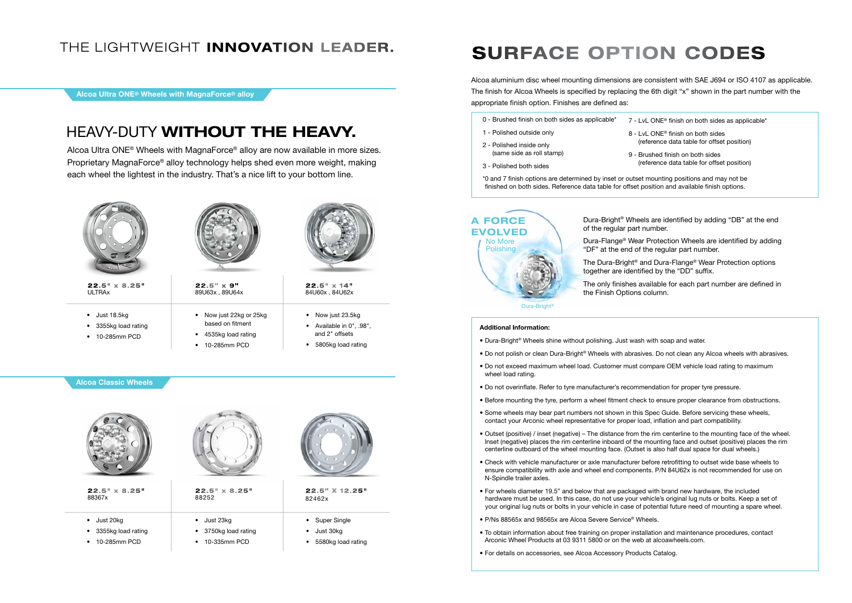

Alcoa aluminium disc wheel mounting dimensions are consistent with SAE J694 or ISO 4107 as applicable. The finish for Alcoa Wheels is specified by replacing the 6th digit "x" shown in the part number with the appropriate finish option. Finishes are defined as:

| 0 - Brushed finish on both sides as applicable*       | $7 - 1$ |
|-------------------------------------------------------|---------|
| 1 - Polished outside only                             | 8 - I   |
| 2 - Polished inside only<br>(same side as roll stamp) | 9 - B   |
| 3 - Polished both sides                               |         |

\*0 and 7 finish options are determined by inset or outset mounting positions and may not be finished on both sides. Reference data table for offset position and available finish options.

#### Additional Information:

- Dura-Bright® Wheels shine without polishing. Just wash with soap and water.
- Do not polish or clean Dura-Bright® Wheels with abrasives. Do not clean any Alcoa wheels with abrasives.
- Do not exceed maximum wheel load. Customer must compare OEM vehicle load rating to maximum wheel load rating.
- Do not overinflate. Refer to tyre manufacturer's recommendation for proper tyre pressure.
- Before mounting the tyre, perform a wheel fitment check to ensure proper clearance from obstructions.
- Some wheels may bear part numbers not shown in this Spec Guide. Before servicing these wheels, contact your Arconic wheel representative for proper load, inflation and part compatibility.
- Outset (positive) / inset (negative) The distance from the rim centerline to the mounting face of the wheel. Inset (negative) places the rim centerline inboard of the mounting face and outset (positive) places the rim centerline outboard of the wheel mounting face. (Outset is also half dual space for dual wheels.)
- Check with vehicle manufacturer or axle manufacturer before retrofitting to outset wide base wheels to ensure compatibility with axle and wheel end components. P/N 84U62x is not recommended for use on N-Spindle trailer axles.
- For wheels diameter 19.5" and below that are packaged with brand new hardware, the included hardware must be used. In this case, do not use your vehicle's original lug nuts or bolts. Keep a set of your original lug nuts or bolts in your vehicle in case of potential future need of mounting a spare wheel.
- P/Ns 88565x and 98565x are Alcoa Severe Service® Wheels.
- To obtain information about free training on proper installation and maintenance procedures, contact Arconic Wheel Products at 03 9311 5800 or on the web at alcoawheels.com.
- For details on accessories, see Alcoa Accessory Products Catalog.

vL ONE<sup>®</sup> finish on both sides as applicable\*

vL ONE® finish on both sides reference data table for offset position)

Brushed finish on both sides reference data table for offset position)

## No More **Polishing** A FORCE EVOLVED

Dura-Bright® Wheels are identified by adding "DB" at the end of the regular part number.

Dura-Flange® Wear Protection Wheels are identified by adding "DF" at the end of the regular part number.

The Dura-Bright® and Dura-Flange® Wear Protection options together are identified by the "DD" suffix.

The only finishes available for each part number are defined in the Finish Options column.

Dura-Bright

• Just 20kg

- 3355kg load rating
- 10-285mm PCD
- Just 23kg
- 3750kg load rating
- 10-335mm PCD

• Super Single • Just 30kg

• 5580kg load rating

22.5" X 12.25"

82462x



22.5" x 8.25" 88367x



22.5" x 8.25" 88252

#### Alcoa Ultra ONE® Wheels with MagnaForce® alloy

## HEAVY-DUTY WITHOUT THE HEAVY.

## THE LIGHTWEIGHT INNOVATION LEADER.

• Now just 23.5kg

- Available in 0", .98", and 2" offsets
- 5805kg load rating

22.5" x 14" 84U60x , 84U62x

- Just 18.5kg
- 3355kg load rating
- 10-285mm PCD



22.5" x 8.25" ULTRAx

- Now just 22kg or 25kg based on fitment
- 4535kg load rating • 10-285mm PCD





22.5" x 9" 89U63x , 89U64x

Alcoa Ultra ONE® Wheels with MagnaForce® alloy are now available in more sizes. Proprietary MagnaForce® alloy technology helps shed even more weight, making each wheel the lightest in the industry. That's a nice lift to your bottom line.

#### Alcoa Classic Wheels